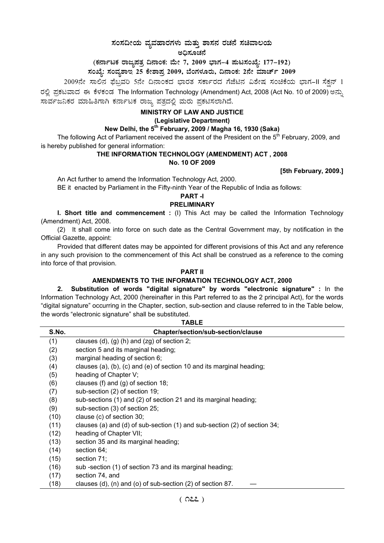# $\,$ ಸಂಸದೀಯ ವ್ಯವಹಾರಗಳು ಮತ್ತು ಶಾಸನ ರಚನೆ ಸಚಿವಾಲಯ

ಅಧಿಸೂಚನೆ

## (ಕರ್ನಾಟಕ ರಾಜ್ಯಪತ್ರ ದಿನಾಂಕ: ಮೇ 7, 2009 ಭಾಗ–4 **ಪುಟಸಂಖ್ಯೆ: 177–192)**

## ಸಂಖ್ಯೆ: ಸಂವ್ಯಶಾಇ 25 ಕೇಶಾಪ್ರ 2009, ಬೆಂಗಳೂರು, ದಿನಾಂಕ: 2ನೇ ಮಾರ್ಚ್ 2009

2009ನೇ ಸಾಲಿನ ಫೆಬ್ರವರಿ 5ನೇ ದಿನಾಂಕದ ಭಾರತ ಸರ್ಕಾರದ ಗೆಜೆಟಿನ ವಿಶೇಷ ಸಂಚಿಕೆಯ ಭಾಗ-II ಸೆಕ್ಷನ್ 1 ರಲ್ಲಿ ಪ್ರಕಟವಾದ ಈ ಕೆಳಕಂಡ The Information Technology (Amendment) Act, 2008 (Act No. 10 of 2009) ಅನ್ಸು ಸಾರ್ವಜನಿಕರ ಮಾಹಿತಿಗಾಗಿ ಕರ್ನಾಟಕ ರಾಜ್ಯ ಪತ್ರದಲ್ಲಿ ಮರು ಪ್ರಕಟಿಸಲಾಗಿದೆ.

## **MINISTRY OF LAW AND JUSTICE (Legislative Department)**

## **New Delhi, the 5th February, 2009 / Magha 16, 1930 (Saka)**

The following Act of Parliament received the assent of the President on the 5<sup>th</sup> February, 2009, and is hereby published for general information:

## **THE INFORMATION TECHNOLOGY (AMENDMENT) ACT , 2008 No. 10 OF 2009**

**[5th February, 2009.]** 

An Act further to amend the Information Technology Act, 2000.

BE it enacted by Parliament in the Fifty-ninth Year of the Republic of India as follows:

#### **PART -I**

## **PRELIMINARY**

**I. Short title and commencement :** (I) This Act may be called the Information Technology (Amendment) Act, 2008.

(2) It shall come into force on such date as the Central Government may, by notification in the Official Gazette, appoint:

Provided that different dates may be appointed for different provisions of this Act and any reference in any such provision to the commencement of this Act shall be construed as a reference to the coming into force of that provision.

## **PART II**

## **AMENDMENTS TO THE INFORMATION TECHNOLOGY ACT, 2000**

**2. Substitution of words "digital signature" by words "electronic signature" :** In the Information Technology Act, 2000 (hereinafter in this Part referred to as the 2 principal Act), for the words "digital signature" occurring in the Chapter, section, sub-section and clause referred to in the Table below, the words "electronic signature" shall be substituted.

| <b>TABLE</b> |                                                                              |  |  |  |
|--------------|------------------------------------------------------------------------------|--|--|--|
| S.No.        | Chapter/section/sub-section/clause                                           |  |  |  |
| (1)          | clauses $(d)$ , $(g)$ $(h)$ and $(zg)$ of section 2;                         |  |  |  |
| (2)          | section 5 and its marginal heading;                                          |  |  |  |
| (3)          | marginal heading of section 6;                                               |  |  |  |
| (4)          | clauses (a), (b), (c) and (e) of section 10 and its marginal heading;        |  |  |  |
| (5)          | heading of Chapter V;                                                        |  |  |  |
| (6)          | clauses (f) and (g) of section 18;                                           |  |  |  |
| (7)          | sub-section (2) of section 19;                                               |  |  |  |
| (8)          | sub-sections (1) and (2) of section 21 and its marginal heading;             |  |  |  |
| (9)          | sub-section (3) of section 25;                                               |  |  |  |
| (10)         | clause (c) of section 30;                                                    |  |  |  |
| (11)         | clauses (a) and (d) of sub-section (1) and sub-section (2) of section $34$ ; |  |  |  |
| (12)         | heading of Chapter VII;                                                      |  |  |  |
| (13)         | section 35 and its marginal heading;                                         |  |  |  |
| (14)         | section 64;                                                                  |  |  |  |
| (15)         | section 71;                                                                  |  |  |  |
| (16)         | sub -section (1) of section 73 and its marginal heading;                     |  |  |  |
| (17)         | section 74, and                                                              |  |  |  |
| (18)         | clauses (d), (n) and (o) of sub-section (2) of section 87.                   |  |  |  |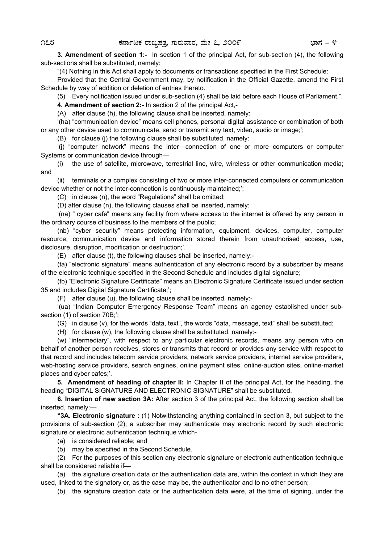**3. Amendment of section 1:-** In section 1 of the principal Act, for sub-section (4), the following sub-sections shall be substituted, namely:

"(4) Nothing in this Act shall apply to documents or transactions specified in the First Schedule:

Provided that the Central Government may, by notification in the Official Gazette, amend the First Schedule by way of addition or deletion of entries thereto.

(5) Every notification issued under sub-section (4) shall be laid before each House of Parliament.".

**4. Amendment of section 2:-** In section 2 of the principal Act,-

(A) after clause (h), the following clause shall be inserted, namely:

'(ha) "communication device" means cell phones, personal digital assistance or combination of both or any other device used to communicate, send or transmit any text, video, audio or image;';

(B) for clause (j) the following clause shall be substituted, namely:

'(j) "computer network" means the inter—connection of one or more computers or computer Systems or communication device through—

(i) the use of satellite, microwave, terrestrial line, wire, wireless or other communication media; and

(ii) terminals or a complex consisting of two or more inter-connected computers or communication device whether or not the inter-connection is continuously maintained;';

(C) in clause (n), the word "Regulations" shall be omitted;

(D) after clause (n), the following clauses shall be inserted, namely:

'(na) " cyber cafe" means any facility from where access to the internet is offered by any person in the ordinary course of business to the members of the public;

(nb) "cyber security" means protecting information, equipment, devices, computer, computer resource, communication device and information stored therein from unauthorised access, use, disclosure, disruption, modification or destruction;'.

(E) after clause (t), the following clauses shall be inserted, namely:-

(ta) "electronic signature" means authentication of any electronic record by a subscriber by means of the electronic technique specified in the Second Schedule and includes digital signature;

 (tb) "Electronic Signature Certificate" means an Electronic Signature Certificate issued under section 35 and includes Digital Signature Certificate;';

(F) after clause (u), the following clause shall be inserted, namely:-

 '(ua) "Indian Computer Emergency Response Team" means an agency established under subsection (1) of section 70B:":

(G) in clause (v), for the words "data, text", the words "data, message, text" shall be substituted;

(H) for clause (w), the following clause shall be substituted, namely:-

 (w) "intermediary", with respect to any particular electronic records, means any person who on behalf of another person receives, stores or transmits that record or provides any service with respect to that record and includes telecom service providers, network service providers, internet service providers, web-hosting service providers, search engines, online payment sites, online-auction sites, online-market places and cyber cafes;'.

 **5. Amendment of heading of chapter II:** In Chapter II of the principal Act, for the heading, the heading "DIGITAL SIGNATURE AND ELECTRONIC SIGNATURE" shall be substituted.

 **6. Insertion of new section 3A:** After section 3 of the principal Act, the following section shall be inserted, namely:—

**"3A. Electronic signature :** (1) Notwithstanding anything contained in section 3, but subject to the provisions of sub-section (2), a subscriber may authenticate may electronic record by such electronic signature or electronic authentication technique which-

- (a) is considered reliable; and
- (b) may be specified in the Second Schedule.

 (2) For the purposes of this section any electronic signature or electronic authentication technique shall be considered reliable if—

 (a) the signature creation data or the authentication data are, within the context in which they are used, linked to the signatory or, as the case may be, the authenticator and to no other person;

(b) the signature creation data or the authentication data were, at the time of signing, under the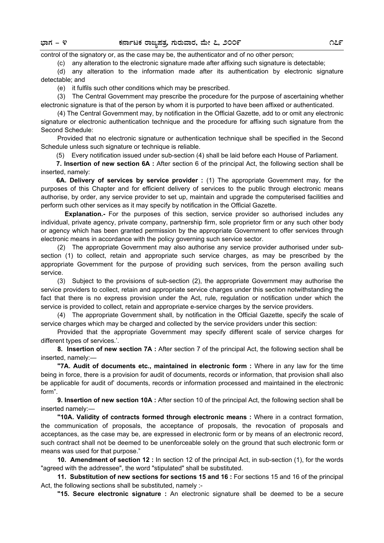control of the signatory or, as the case may be, the authenticator and of no other person;

(c) any alteration to the electronic signature made after affixing such signature is detectable;

 (d) any alteration to the information made after its authentication by electronic signature detectable; and

(e) it fulfils such other conditions which may be prescribed.

 (3) The Central Government may prescribe the procedure for the purpose of ascertaining whether electronic signature is that of the person by whom it is purported to have been affixed or authenticated.

(4) The Central Government may, by notification in the Official Gazette, add to or omit any electronic signature or electronic authentication technique and the procedure for affixing such signature from the Second Schedule:

 Provided that no electronic signature or authentication technique shall be specified in the Second Schedule unless such signature or technique is reliable.

(5) Every notification issued under sub-section (4) shall be laid before each House of Parliament.

**7. Insertion of new section 6A :** After section 6 of the principal Act, the following section shall be inserted, namely:

 **6A. Delivery of services by service provider :** (1) The appropriate Government may, for the purposes of this Chapter and for efficient delivery of services to the public through electronic means authorise, by order, any service provider to set up, maintain and upgrade the computerised facilities and perform such other services as it may specify by notification in the Official Gazette.

 **Explanation.-** For the purposes of this section, service provider so authorised includes any individual, private agency, private company, partnership firm, sole proprietor firm or any such other body or agency which has been granted permission by the appropriate Government to offer services through electronic means in accordance with the policy governing such service sector.

(2) The appropriate Government may also authorise any service provider authorised under subsection (1) to collect, retain and appropriate such service charges, as may be prescribed by the appropriate Government for the purpose of providing such services, from the person availing such service.

 (3) Subject to the provisions of sub-section (2), the appropriate Government may authorise the service providers to collect, retain and appropriate service charges under this section notwithstanding the fact that there is no express provision under the Act, rule, regulation or notification under which the service is provided to collect, retain and appropriate e-service charges by the service providers.

 (4) The appropriate Government shall, by notification in the Official Gazette, specify the scale of service charges which may be charged and collected by the service providers under this section:

 Provided that the appropriate Government may specify different scale of service charges for different types of services.'.

 **8. Insertion of new section 7A :** After section 7 of the principal Act, the following section shall be inserted, namely:—

**"7A. Audit of documents etc., maintained in electronic form :** Where in any law for the time being in force, there is a provision for audit of documents, records or information, that provision shall also be applicable for audit of' documents, records or information processed and maintained in the electronic form".

**9. Insertion of new section 10A:** After section 10 of the principal Act, the following section shall be inserted namely:—

 **"10A. Validity of contracts formed through electronic means :** Where in a contract formation, the communication of proposals, the acceptance of proposals, the revocation of proposals and acceptances, as the case may be, are expressed in electronic form or by means of an electronic record, such contract shall not be deemed to be unenforceable solely on the ground that such electronic form or means was used for that purpose."

**10. Amendment of section 12 :** In section 12 of the principal Act, in sub-section (1), for the words "agreed with the addressee", the word "stipulated" shall be substituted.

**11. Substitution of new sections for sections 15 and 16 :** For sections 15 and 16 of the principal Act, the following sections shall be substituted, namely :-

 **"15. Secure electronic signature :** An electronic signature shall be deemed to be a secure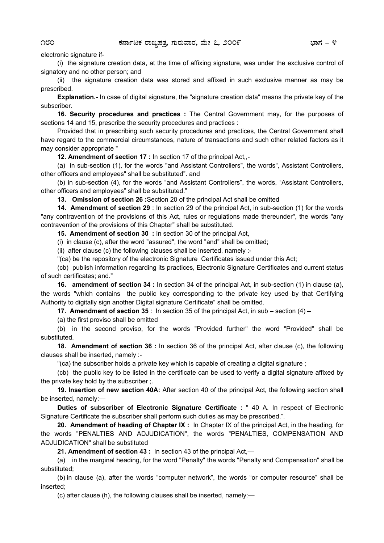electronic signature if-

 (i) the signature creation data, at the time of affixing signature, was under the exclusive control of signatory and no other person; and

 (ii) the signature creation data was stored and affixed in such exclusive manner as may be prescribed.

**Explanation.-** In case of digital signature, the "signature creation data" means the private key of the subscriber.

 **16. Security procedures and practices :** The Central Government may, for the purposes of sections 14 and 15, prescribe the security procedures and practices :

 Provided that in prescribing such security procedures and practices, the Central Government shall have regard to the commercial circumstances, nature of transactions and such other related factors as it may consider appropriate "

 **12. Amendment of section 17 :** In section 17 of the principal Act,,-

 (a) in sub-section (1), for the words "and Assistant Controllers", the words", Assistant Controllers, other officers and employees" shall be substituted". and

 (b) in sub-section (4), for the words "and Assistant Controllers", the words, "Assistant Controllers, other officers and employees" shall be substituted."

 **13. Omission of section 26 :**Section 20 of the principal Act shall be omitted

**14. Amendment of section 29** : In section 29 of the principal Act, in sub-section (1) for the words "any contravention of the provisions of this Act, rules or regulations made thereunder", the words "any contravention of the provisions of this Chapter" shall be substituted.

 **15. Amendment of section 30 :** In section 30 of the principal Act,

(i) in clause (c), after the word "assured", the word "and" shall be omitted;

(ii) after clause (c) the following clauses shall be inserted, namely :-

"(ca) be the repository of the electronic Signature Certificates issued under this Act;

 (cb) publish information regarding its practices, Electronic Signature Certificates and current status of such certificates; and."

**16. amendment of section 34 :** In section 34 of the principal Act, in sub-section (1) in clause (a), the words "which contains the public key corresponding to the private key used by that Certifying Authority to digitally sign another Digital signature Certificate" shall be omitted.

 **17. Amendment of section 35** : In section 35 of the principal Act, in sub – section (4) –

(a) the first proviso shall be omitted

 (b) in the second proviso, for the words "Provided further" the word "Provided" shall be substituted.

**18. Amendment of section 36 :** In section 36 of the principal Act, after clause (c), the following clauses shall be inserted, namely :-

"(ca) the subscriber holds a private key which is capable of creating a digital signature ;

 (cb) the public key to be listed in the certificate can be used to verify a digital signature affixed by the private key hold by the subscriber ;.

 **19. Insertion of new section 40A:** After section 40 of the principal Act, the following section shall be inserted, namely:—

**Duties of subscriber of Electronic Signature Certificate :** " 40 A. In respect of Electronic Signature Certificate the subscriber shall perform such duties as may be prescribed.".

 **20. Amendment of heading of Chapter IX :** In Chapter IX of the principal Act, in the heading, for the words "PENALTIES AND ADJUDICATION", the words "PENALTIES, COMPENSATION AND ADJUDICATION" shall be substituted

 **21. Amendment of section 43 :** In section 43 of the principal Act,—

 (a) in the marginal heading, for the word "Penalty" the words "Penalty and Compensation" shall be substituted;

(b) in clause (a), after the words "computer network", the words "or computer resource" shall be inserted;

(c) after clause (h), the following clauses shall be inserted, namely:—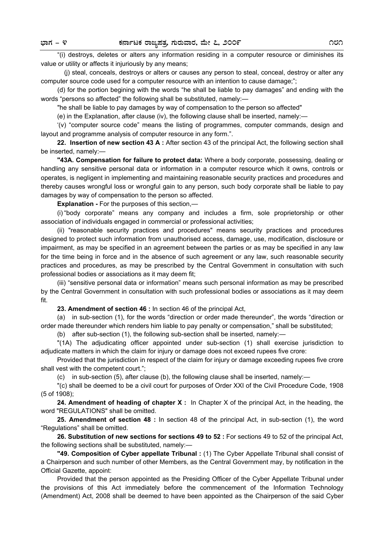"(i) destroys, deletes or alters any information residing in a computer resource or diminishes its value or utility or affects it injuriously by any means;

 (j) steal, conceals, destroys or alters or causes any person to steal, conceal, destroy or alter any computer source code used for a computer resource with an intention to cause damage;";

(d) for the portion begining with the words "he shall be liable to pay damages" and ending with the words "persons so affected" the following shall be substituted, namely:—

"he shall be liable to pay damages by way of compensation to the person so affected"

(e) in the Explanation, after clause (iv), the following clause shall be inserted, namely:—

'(v) "computer source code" means the listing of programmes, computer commands, design and layout and programme analysis of computer resource in any form.".

**22. Insertion of new section 43 A :** After section 43 of the principal Act, the following section shall be inserted, namely:—

**"43A. Compensation for failure to protect data:** Where a body corporate, possessing, dealing or handling any sensitive personal data or information in a computer resource which it owns, controls or operates, is negligent in implementing and maintaining reasonable security practices and procedures and thereby causes wrongful loss or wrongful gain to any person, such body corporate shall be liable to pay damages by way of compensation to the person so affected.

**Explanation -** For the purposes of this section,—

(i) "body corporate" means any company and includes a firm, sole proprietorship or other association of individuals engaged in commercial or professional activities;

(ii) "reasonable security practices and procedures" means security practices and procedures designed to protect such information from unauthorised access, damage, use, modification, disclosure or impairment, as may be specified in an agreement between the parties or as may be specified in any law for the time being in force and in the absence of such agreement or any law, such reasonable security practices and procedures, as may be prescribed by the Central Government in consultation with such professional bodies or associations as it may deem fit;

(iii) "sensitive personal data or information" means such personal information as may be prescribed by the Central Government in consultation with such professional bodies or associations as it may deem fit.

**23. Amendment of section 46 :** In section 46 of the principal Act,

(a) in sub-section (1), for the words "direction or order made thereunder", the words "direction or order made thereunder which renders him liable to pay penalty or compensation," shall be substituted;

(b) after sub-section (1), the following sub-section shall be inserted, namely:—

"(1A) The adjudicating officer appointed under sub-section (1) shall exercise jurisdiction to adjudicate matters in which the claim for injury or damage does not exceed rupees five crore:

Provided that the jurisdiction in respect of the claim for injury or damage exceeding rupees five crore shall vest with the competent court.";

(c) in sub-section (5), after clause (b), the following clause shall be inserted, namely:—

"(c) shall be deemed to be a civil court for purposes of Order XXI of the Civil Procedure Code, 1908 (5 of 1908);

**24. Amendment of heading of chapter X :** In Chapter X of the principal Act, in the heading, the word "REGULATIONS" shall be omitted.

**25. Amendment of section 48 :** In section 48 of the principal Act, in sub-section (1), the word "Regulations" shall be omitted.

**26. Substitution of new sections for sections 49 to 52 :** For sections 49 to 52 of the principal Act, the following sections shall be substituted, namely:—

**"49. Composition of Cyber appellate Tribunal :** (1) The Cyber Appellate Tribunal shall consist of a Chairperson and such number of other Members, as the Central Government may, by notification in the Official Gazette, appoint:

Provided that the person appointed as the Presiding Officer of the Cyber Appellate Tribunal under the provisions of this Act immediately before the commencement of the Information Technology (Amendment) Act, 2008 shall be deemed to have been appointed as the Chairperson of the said Cyber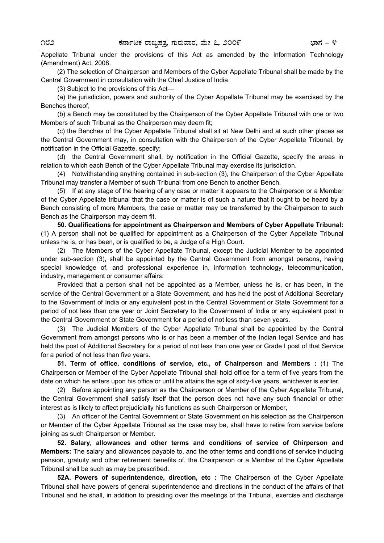Appellate Tribunal under the provisions of this Act as amended by the Information Technology (Amendment) Act, 2008.

(2) The selection of Chairperson and Members of the Cyber Appellate Tribunal shall be made by the Central Government in consultation with the Chief Justice of India.

(3) Subject to the provisions of this Act—

(a) the jurisdiction, powers and authority of the Cyber Appellate Tribunal may be exercised by the Benches thereof,

(b) a Bench may be constituted by the Chairperson of the Cyber Appellate Tribunal with one or two Members of such Tribunal as the Chairperson may deem fit;

(c) the Benches of the Cyber Appellate Tribunal shall sit at New Delhi and at such other places as the Central Government may, in consultation with the Chairperson of the Cyber Appellate Tribunal, by notification in the Official Gazette, specify;

(d) the Central Government shall, by notification in the Official Gazette, specify the areas in relation to which each Bench of the Cyber Appellate Tribunal may exercise its jurisdiction.

(4) Notwithstanding anything contained in sub-section (3), the Chairperson of the Cyber Appellate Tribunal may transfer a Member of such Tribunal from one Bench to another Bench.

(5) If at any stage of the hearing of any case or matter it appears to the Chairperson or a Member of the Cyber Appellate tribunal that the case or matter is of such a nature that it ought to be heard by a Bench consisting of more Members, the case or matter may be transferred by the Chairperson to such Bench as the Chairperson may deem fit.

 **50. Qualifications for appointment as Chairperson and Members of Cyber Appellate Tribunal:**  (1) A person shall not be qualified for appointment as a Chairperson of the Cyber Appellate Tribunal unless he is, or has been, or is qualified to be, a Judge of a High Court.

(2) The Members of the Cyber Appellate Tribunal, except the Judicial Member to be appointed under sub-section (3), shall be appointed by the Central Government from amongst persons, having special knowledge of, and professional experience in, information technology, telecommunication, industry, management or consumer affairs:

Provided that a person shall not be appointed as a Member, unless he is, or has been, in the service of the Central Government or a State Government, and has held the post of Additional Secretary to the Government of India or any equivalent post in the Central Government or State Government for a period of not less than one year or Joint Secretary to the Government of India or any equivalent post in the Central Government or State Government for a period of not less than seven years.

(3) The Judicial Members of the Cyber Appellate Tribunal shall be appointed by the Central Government from amongst persons who is or has been a member of the Indian legal Service and has held the post of Additional Secretary for a period of not less than one year or Grade I post of that Service for a period of not less than five years.

**51. Term of office, conditions of service, etc., of Chairperson and Members :** (1) The Chairperson or Member of the Cyber Appellate Tribunal shall hold office for a term of five years from the date on which he enters upon his office or until he attains the age of sixty-five years, whichever is earlier.

(2) Before appointing any person as the Chairperson or Member of the Cyber Appellate Tribunal, the Central Government shall satisfy itself that the person does not have any such financial or other interest as is likely to affect prejudicially his functions as such Chairperson or Member,

(3) An officer of the Central Government or State Government on his selection as the Chairperson or Member of the Cyber Appellate Tribunal as the case may be, shall have to retire from service before joining as such Chairperson or Member.

**52. Salary, allowances and other terms and conditions of service of Chirperson and Members:** The salary and allowances payable to, and the other terms and conditions of service including pension, gratuity and other retirement benefits of, the Chairperson or a Member of the Cyber Appellate Tribunal shall be such as may be prescribed.

**52A. Powers of superintendence, direction, etc :** The Chairperson of the Cyber Appellate Tribunal shall have powers of general superintendence and directions in the conduct of the affairs of that Tribunal and he shall, in addition to presiding over the meetings of the Tribunal, exercise and discharge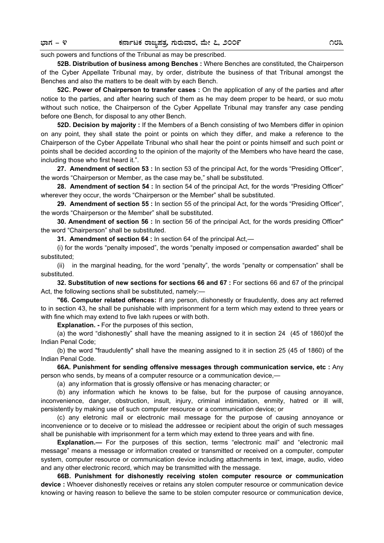#### such powers and functions of the Tribunal as may be prescribed.

**52B. Distribution of business among Benches :** Where Benches are constituted, the Chairperson of the Cyber Appellate Tribunal may, by order, distribute the business of that Tribunal amongst the Benches and also the matters to be dealt with by each Bench.

**52C. Power of Chairperson to transfer cases :** On the application of any of the parties and after notice to the parties, and after hearing such of them as he may deem proper to be heard, or suo motu without such notice, the Chairperson of the Cyber Appellate Tribunal may transfer any case pending before one Bench, for disposal to any other Bench.

**52D. Decision by majority :** If the Members of a Bench consisting of two Members differ in opinion on any point, they shall state the point or points on which they differ, and make a reference to the Chairperson of the Cyber Appellate Tribunal who shall hear the point or points himself and such point or points shall be decided according to the opinion of the majority of the Members who have heard the case, including those who first heard it.".

**27. Amendment of section 53 :** In section 53 of the principal Act, for the words "Presiding Officer", the words "Chairperson or Member, as the case may be," shall be substituted.

**28. Amendment of section 54 :** In section 54 of the principal Act, for the words "Presiding Officer" wherever they occur, the words "Chairperson or the Member" shall be substituted.

**29. Amendment of section 55 :** In section 55 of the principal Act, for the words "Presiding Officer", the words "Chairperson or the Member" shall be substituted.

**30. Amendment of section 56 :** In section 56 of the principal Act, for the words presiding Officer" the word "Chairperson" shall be substituted.

**31. Amendment of section 64 :** In section 64 of the principal Act,—

(i) for the words "penalty imposed", the words "penalty imposed or compensation awarded" shall be substituted;

(ii) in the marginal heading, for the word "penalty", the words "penalty or compensation" shall be substituted.

**32. Substitution of new sections for sections 66 and 67 :** For sections 66 and 67 of the principal Act, the following sections shall be substituted, namely:—

**"66. Computer related offences:** If any person, dishonestly or fraudulently, does any act referred to in section 43, he shall be punishable with imprisonment for a term which may extend to three years or with fine which may extend to five lakh rupees or with both.

**Explanation. -** For the purposes of this section,

(a) the word "dishonestly" shall have the meaning assigned to it in section 24 (45 of 1860)of the Indian Penal Code;

(b) the word "fraudulently" shall have the meaning assigned to it in section 25 (45 of 1860) of the Indian Penal Code.

**66A. Punishment for sending offensive messages through communication service, etc :** Any person who sends, by means of a computer resource or a communication device,—

(a) any information that is grossly offensive or has menacing character; or

(b) any information which he knows to be false, but for the purpose of causing annoyance, inconvenience, danger, obstruction, insult, injury, criminal intimidation, enmity, hatred or ill will, persistently by making use of such computer resource or a communication device; or

(c) any eletronic mail or electronic mail message for the purpose of causing annoyance or inconvenience or to deceive or to mislead the addressee or recipient about the origin of such messages shall be punishable with imprisonment for a term which may extend to three years and with fine.

**Explanation.—** For the purposes of this section, terms "electronic mail" and "electronic mail message" means a message or information created or transmitted or received on a computer, computer system, computer resource or communication device including attachments in text, image, audio, video and any other electronic record, which may be transmitted with the message.

**66B. Punishment for dishonestly receiving stolen computer resource or communication device :** Whoever dishonestly receives or retains any stolen computer resource or communication device knowing or having reason to believe the same to be stolen computer resource or communication device,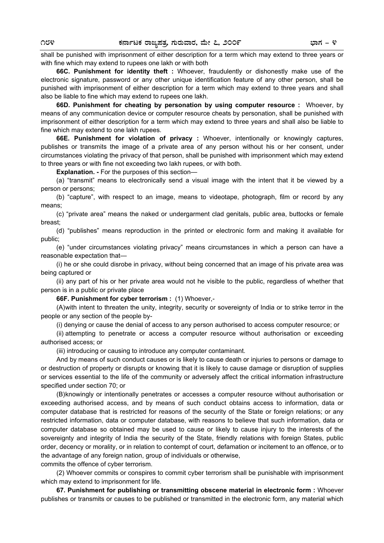shall be punished with imprisonment of either description for a term which may extend to three years or with fine which may extend to rupees one lakh or with both

 **66C. Punishment for identity theft :** Whoever, fraudulently or dishonestly make use of the electronic signature, password or any other unique identification feature of any other person, shall be punished with imprisonment of either description for a term which may extend to three years and shall also be liable to fine which may extend to rupees one lakh.

 **66D. Punishment for cheating by personation by using computer resource :** Whoever, by means of any communication device or computer resource cheats by personation, shall be punished with imprisonment of either description for a term which may extend to three years and shall also be liable to fine which may extend to one lakh rupees.

**66E. Punishment for violation of privacy :** Whoever, intentionally or knowingly captures, publishes or transmits the image of a private area of any person without his or her consent, under circumstances violating the privacy of that person, shall be punished with imprisonment which may extend to three years or with fine not exceeding two Iakh rupees, or with both.

**Explanation. -** For the purposes of this section—

 (a) "transmit" means to electronically send a visual image with the intent that it be viewed by a person or persons;

 (b) "capture", with respect to an image, means to videotape, photograph, film or record by any means;

 (c) "private area" means the naked or undergarment clad genitals, public area, buttocks or female breast;

 (d) "publishes" means reproduction in the printed or electronic form and making it available for public;

 (e) "under circumstances violating privacy" means circumstances in which a person can have a reasonable expectation that—

 (i) he or she could disrobe in privacy, without being concerned that an image of his private area was being captured or

 (ii) any part of his or her private area would not he visible to the public, regardless of whether that person is in a public or private place

 **66F. Punishment for cyber terrorism :** (1) Whoever,-

(A) with intent to threaten the unity, integrity, security or sovereignty of India or to strike terror in the people or any section of the people by-

(i) denying or cause the denial of access to any person authorised to access computer resource; or

(ii) attempting to penetrate or access a computer resource without authorisation or exceeding authorised access; or

(iii) introducing or causing to introduce any computer contaminant.

And by means of such conduct causes or is likely to cause death or injuries to persons or damage to or destruction of property or disrupts or knowing that it is likely to cause damage or disruption of supplies or services essential to the life of the community or adversely affect the critical information infrastructure specified under section 70; or

(B) knowingly or intentionally penetrates or accesses a computer resource without authorisation or exceeding authorised access, and by means of such conduct obtains access to information, data or computer database that is restricted for reasons of the security of the State or foreign relations; or any restricted information, data or computer database, with reasons to believe that such information, data or computer database so obtained may be used to cause or likely to cause injury to the interests of the sovereignty and integrity of India the security of the State, friendly relations with foreign States, public order, decency or morality, or in relation to contempt of court, defamation or incitement to an offence, or to the advantage of any foreign nation, group of individuals or otherwise,

commits the offence of cyber terrorism.

(2) Whoever commits or conspires to commit cyber terrorism shall be punishable with imprisonment which may extend to imprisonment for life.

**67. Punishment for publishing or transmitting obscene material in electronic form :** Whoever publishes or transmits or causes to be published or transmitted in the electronic form, any material which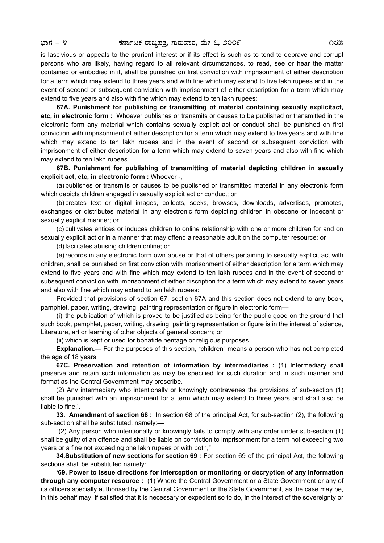is lascivious or appeals to the prurient interest or if its effect is such as to tend to deprave and corrupt persons who are likely, having regard to all relevant circumstances, to read, see or hear the matter contained or embodied in it, shall be punished on first conviction with imprisonment of either description for a term which may extend to three years and with fine which may extend to five lakh rupees and in the event of second or subsequent conviction with imprisonment of either description for a term which may extend to five years and also with fine which may extend to ten Iakh rupees:

**67A. Punishment for publishing or transmitting of material containing sexually explicitact, etc, in electronic form :** Whoever publishes or transmits or causes to be published or transmitted in the electronic form any material which contains sexually explicit act or conduct shall be punished on first conviction with imprisonment of either description for a term which may extend to five years and with fine which may extend to ten lakh rupees and in the event of second or subsequent conviction with imprisonment of either description for a term which may extend to seven years and also with fine which may extend to ten lakh rupees.

**67B. Punishment for publishing of transmitting of material depicting children in sexually explicit act, etc, in electronic form :** Whoever -,

(a) publishes or transmits or causes to be published or transmitted material in any electronic form which depicts children engaged in sexually explicit act or conduct; or

(b) creates text or digital images, collects, seeks, browses, downloads, advertises, promotes, exchanges or distributes material in any electronic form depicting children in obscene or indecent or sexually explicit manner; or

(c) cultivates entices or induces children to online relationship with one or more children for and on sexually explicit act or in a manner that may offend a reasonable adult on the computer resource; or

(d) facilitates abusing children online; or

(e) records in any electronic form own abuse or that of others pertaining to sexually explicit act with children, shall be punished on first conviction with imprisonment of either description for a term which may extend to five years and with fine which may extend to ten lakh rupees and in the event of second or subsequent conviction with imprisonment of either discription for a term which may extend to seven years and also with fine which may extend to ten lakh rupees:

Provided that provisions of section 67, section 67A and this section does not extend to any book, pamphlet, paper, writing, drawing, painting representation or figure in electronic form—

(i) the publication of which is proved to be justified as being for the public good on the ground that such book, pamphlet, paper, writing, drawing, painting representation or figure is in the interest of science, Literature, art or learning of other objects of general concern; or

(ii) which is kept or used for bonafide heritage or religious purposes.

**Explanation.—** For the purposes of this section, "children" means a person who has not completed the age of 18 years.

**67C. Preservation and retention of information by intermediaries :** (1) Intermediary shall preserve and retain such information as may be specified for such duration and in such manner and format as the Central Government may prescribe.

(2) Any intermediary who intentionally or knowingly contravenes the provisions of sub-section (1) shall be punished with an imprisonment for a term which may extend to three years and shall also be liable to fine.'.

**33. Amendment of section 68 :** In section 68 of the principal Act, for sub-section (2), the following sub-section shall be substituted, namely:—

 "(2) Any person who intentionally or knowingly fails to comply with any order under sub-section (1) shall be guilty of an offence and shall be liable on conviction to imprisonment for a term not exceeding two years or a fine not exceeding one lakh rupees or with both,"

**34.Substitution of new sections for section 69 :** For section 69 of the principal Act, the following sections shall be substituted namely:

**'69. Power to issue directions for interception or monitoring or decryption of any information through any computer resource :** (1) Where the Central Government or a State Government or any of its officers specially authorised by the Central Government or the State Government, as the case may be, in this behalf may, if satisfied that it is necessary or expedient so to do, in the interest of the sovereignty or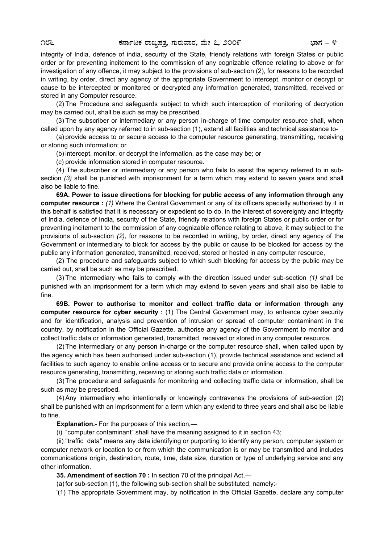integrity of India, defence of india, security of the State, friendly relations with foreign States or public order or for preventing incitement to the commission of any cognizable offence relating to above or for investigation of any offence, it may subject to the provisions of sub-section (2), for reasons to be recorded in writing, by order, direct any agency of the appropriate Government to intercept, monitor or decrypt or cause to be intercepted or monitored or decrypted any information generated, transmitted, received or stored in any Computer resource.

(2) The Procedure and safeguards subject to which such interception of monitoring of decryption may be carried out, shall be such as may be prescribed.

(3) The subscriber or intermediary or any person in-charge of time computer resource shall, when called upon by any agency referred to in sub-section (1), extend all facilities and technical assistance to-

(a) provide access to or secure access to the computer resource generating, transmitting, receiving or storing such information; or

(b) intercept, monitor, or decrypt the information, as the case may be; or

(c) provide information stored in computer resource.

(4) The subscriber or intermediary or any person who fails to assist the agency referred to in subsection *(3)* shall be punished with imprisonment for a term which may extend to seven years and shall also be liable to fine.

**69A. Power to issue directions for blocking for public access of any information through any computer resource :** *(1)* Where the Central Government or any of its officers specially authorised by it in this behalf is satisfied that it is necessary or expedient so to do, in the interest of sovereignty and integrity of India, defence of India, security of the State, friendly relations with foreign States or public order or for preventing incitement to the commission of any cognizable offence relating to above, it may subject to the provisions of sub-section *(2),* for reasons to be recorded in writing, by order, direct any agency of the Government or intermediary to block for access by the public or cause to be blocked for access by the public any information generated, transmitted, received, stored or hosted in any computer resource,

(2) The procedure and safeguards subject to which such blocking for access by the public may be carried out, shall be such as may be prescribed.

(3) The intermediary who fails to comply with the direction issued under sub-section *(1)* shall be punished with an imprisonment for a term which may extend to seven years and shall also be liable to fine.

**69B. Power to authorise to monitor and collect traffic data or information through any computer resource for cyber security :** (1) The Central Government may, to enhance cyber security and for identification, analysis and prevention of intrusion or spread of computer contaminant in the country, by notification in the Official Gazette, authorise any agency of the Government to monitor and collect traffic data or information generated, transmitted, received or stored in any computer resource.

(2)The intermediary or any person in-charge or the computer resource shall, when called upon by the agency which has been authorised under sub-section (1), provide technical assistance and extend all facilities to such agency to enable online access or to secure and provide online access to the computer resource generating, transmitting, receiving or storing such traffic data or information.

(3) The procedure and safeguards for monitoring and collecting traffic data or information, shall be such as may be prescribed.

(4) Any intermediary who intentionally or knowingly contravenes the provisions of sub-section (2) shall be punished with an imprisonment for a term which any extend to three years and shall also be liable to fine.

**Explanation.-** For the purposes of this section,—

(i) "computer contaminant" shall have the meaning assigned to it in section 43;

(ii) "traffic data" means any data identifying or purporting to identify any person, computer system or computer network or location to or from which the communication is or may be transmitted and includes communications origin, destination, route, time, date size, duration or type of underlying service and any other information.

**35. Amendment of section 70 :** In section 70 of the principal Act,—

(a) for sub-section (1), the following sub-section shall be substituted, namely:-

'(1) The appropriate Government may, by notification in the Official Gazette, declare any computer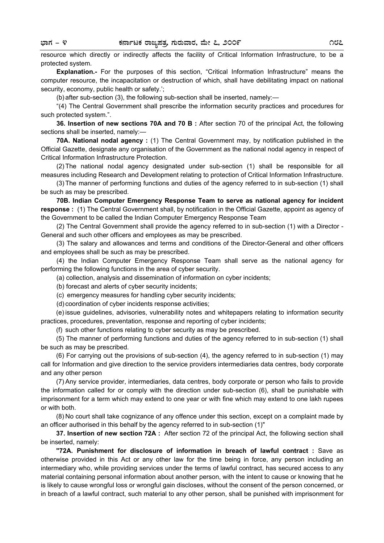resource which directly or indirectly affects the facility of Critical Information Infrastructure, to be a protected system.

**Explanation.-** For the purposes of this section, "Critical Information Infrastructure" means the computer resource, the incapacitation or destruction of which, shall have debilitating impact on national security, economy, public health or safety.';

(b) after sub-section (3), the following sub-section shall be inserted, namely:—

"(4) The Central Government shall prescribe the information security practices and procedures for such protected system.".

**36. Insertion of new sections 70A and 70 B :** After section 70 of the principal Act, the following sections shall be inserted, namely:—

**70A. National nodal agency :** (1) The Central Government may, by notification published in the Official Gazette, designate any organisation of the Government as the national nodal agency in respect of Critical Information Infrastructure Protection.

(2) The national nodal agency designated under sub-section (1) shall be responsible for all measures including Research and Development relating to protection of Critical Information Infrastructure.

(3) The manner of performing functions and duties of the agency referred to in sub-section (1) shall be such as may be prescribed.

**70B. Indian Computer Emergency Response Team to serve as national agency for incident response :** (1) The Central Government shall, by notification in the Official Gazette, appoint as agency of the Government to be called the Indian Computer Emergency Response Team

(2) The Central Government shall provide the agency referred to in sub-section (1) with a Director - General and such other officers and employees as may be prescribed.

(3) The salary and allowances and terms and conditions of the Director-General and other officers and employees shall be such as may be prescribed.

(4) the Indian Computer Emergency Response Team shall serve as the national agency for performing the following functions in the area of cyber security.

(a) collection, analysis and dissemination of information on cyber incidents;

(b) forecast and alerts of cyber security incidents;

(c) emergency measures for handling cyber security incidents;

(d) coordination of cyber incidents response activities;

(e) issue guidelines, advisories, vulnerability notes and whitepapers relating to information security practices, procedures, preventation, response and reporting of cyber incidents;

(f) such other functions relating to cyber security as may be prescribed.

(5) The manner of performing functions and duties of the agency referred to in sub-section (1) shall be such as may be prescribed.

(6) For carrying out the provisions of sub-section (4), the agency referred to in sub-section (1) may call for Information and give direction to the service providers intermediaries data centres, body corporate and any other person

(7) Any service provider, intermediaries, data centres, body corporate or person who fails to provide the information called for or comply with the direction under sub-section (6), shall be punishable with imprisonment for a term which may extend to one year or with fine which may extend to one lakh rupees or with both.

(8) No court shall take cognizance of any offence under this section, except on a complaint made by an officer authorised in this behalf by the agency referred to in sub-section (1)"

**37. Insertion of new section 72A :** After section 72 of the principal Act, the following section shall be inserted, namely:

**"72A. Punishment for disclosure of information in breach of lawful contract :** Save as otherwise provided in this Act or any other law for the time being in force, any person including an intermediary who, while providing services under the terms of lawful contract, has secured access to any material containing personal information about another person, with the intent to cause or knowing that he is likely to cause wrongful loss or wrongful gain discloses, without the consent of the person concerned, or in breach of a lawful contract, such material to any other person, shall be punished with imprisonment for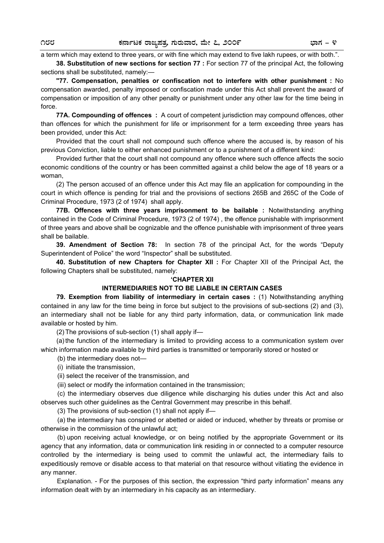a term which may extend to three years, or with fine which may extend to five lakh rupees, or with both.".

**38. Substitution of new sections for section 77 :** For section 77 of the principal Act, the following sections shall be substituted, namely:—

**"77. Compensation, penalties or confiscation not to interfere with other punishment :** No compensation awarded, penalty imposed or confiscation made under this Act shall prevent the award of compensation or imposition of any other penalty or punishment under any other law for the time being in force.

**77A. Compounding of offences :** A court of competent jurisdiction may compound offences, other than offences for which the punishment for life or imprisonment for a term exceeding three years has been provided, under this Act:

Provided that the court shall not compound such offence where the accused is, by reason of his previous Conviction, liable to either enhanced punishment or to a punishment of a different kind:

Provided further that the court shall not compound any offence where such offence affects the socio economic conditions of the country or has been committed against a child below the age of 18 years or a woman,

(2) The person accused of an offence under this Act may file an application for compounding in the court in which offence is pending for trial and the provisions of sections 265B and 265C of the Code of Criminal Procedure, 1973 (2 of 1974) shall apply.

**77B. Offences with three years imprisonment to be bailable :** Notwithstanding anything contained in the Code of Criminal Procedure, 1973 (2 of 1974) , the offence punishable with imprisonment of three years and above shall be cognizable and the offence punishable with imprisonment of three years shall be bailable.

**39. Amendment of Section 78:** In section 78 of the principal Act, for the words "Deputy Superintendent of Police" the word "Inspector" shall be substituted.

**40. Substitution of new Chapters for Chapter XII :** For Chapter XII of the Principal Act, the following Chapters shall be substituted, namely:

#### **'CHAPTER XII**

#### **INTERMEDIARIES NOT TO BE LIABLE IN CERTAIN CASES**

**79. Exemption from liability of intermediary in certain cases :** (1) Notwithstanding anything contained in any law for the time being in force but subject to the provisions of sub-sections (2) and (3), an intermediary shall not be liable for any third party information, data, or communication link made available or hosted by him.

(2) The provisions of sub-section (1) shall apply if—

(a) the function of the intermediary is limited to providing access to a communication system over which information made available by third parties is transmitted or temporarily stored or hosted or

(b) the intermediary does not—

(i) initiate the transmission,

(ii) select the receiver of the transmission, and

(iii) select or modify the information contained in the transmission;

 (c) the intermediary observes due diligence while discharging his duties under this Act and also observes such other guidelines as the Central Government may prescribe in this behalf.

(3) The provisions of sub-section (1) shall not apply if—

(a) the intermediary has conspired or abetted or aided or induced, whether by threats or promise or otherwise in the commission of the unlawful act;

(b) upon receiving actual knowledge, or on being notified by the appropriate Government or its agency that any information, data or communication link residing in or connected to a computer resource controlled by the intermediary is being used to commit the unlawful act, the intermediary fails to expeditiously remove or disable access to that material on that resource without vitiating the evidence in any manner.

Explanation. - For the purposes of this section, the expression "third party information" means any information dealt with by an intermediary in his capacity as an intermediary.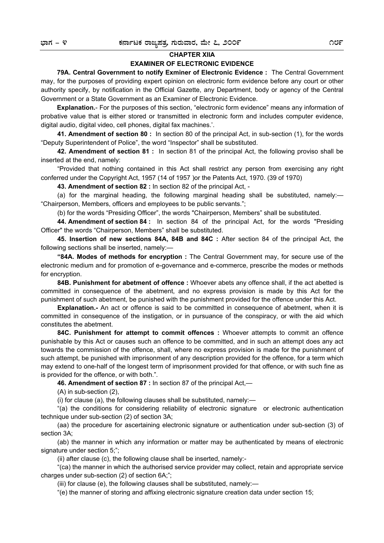## **CHAPTER XIIA**

#### **EXAMINER OF ELECTRONIC EVIDENCE**

**79A. Central Government to notify Exminer of Electronic Evidence :** The Central Government may, for the purposes of providing expert opinion on electronic form evidence before any court or other authority specify, by notification in the Official Gazette, any Department, body or agency of the Central Government or a State Government as an Examiner of Electronic Evidence.

**Explanation.**- For the purposes of this section, "electronic form evidence" means any information of probative value that is either stored or transmitted in electronic form and includes computer evidence, digital audio, digital video, cell phones, digital fax machines.'.

**41. Amendment of section 80 :** In section 80 of the principal Act, in sub-section (1), for the words "Deputy Superintendent of Police", the word "Inspector" shall be substituted.

**42. Amendment of section 81 :** In section 81 of the principal Act, the following proviso shall be inserted at the end, namely:

"Provided that nothing contained in this Act shall restrict any person from exercising any right conferred under the Copyright Act, 1957 (14 of 1957 )or the Patents Act, 1970. (39 of 1970)

**43. Amendment of section 82 :** In section 82 of the principal Act, -

(a) for the marginal heading, the following marginal heading shall be substituted, namely:— "Chairperson, Members, officers and employees to be public servants.";

(b) for the words "Presiding Officer", the words "Chairperson, Members" shall be substituted.

**44. Amendment of section 84 :** In section 84 of the principal Act, for the words "Presiding Officer" the words "Chairperson, Members" shaIl be substituted.

**45. Insertion of new sections 84A, 84B and 84C :** After section 84 of the principal Act, the following sections shall be inserted, namely:—

**"84A. Modes of methods for encryption :** The Central Government may, for secure use of the electronic medium and for promotion of e-governance and e-commerce, prescribe the modes or methods for encryption.

**84B. Punishment for abetment of offence :** Whoever abets any offence shall, if the act abetted is committed in consequence of the abetment, and no express provision is made by this Act for the punishment of such abetment, be punished with the punishment provided for the offence under this Act.

**Explanation.-** An act or offence is said to be committed in consequence of abetment, when it is committed in consequence of the instigation, or in pursuance of the conspiracy, or with the aid which constitutes the abetment.

**84C. Punishment for attempt to commit offences :** Whoever attempts to commit an offence punishable by this Act or causes such an offence to be committed, and in such an attempt does any act towards the commission of the offence, shall, where no express provision is made for the punishment of such attempt, be punished with imprisonment of any description provided for the offence, for a term which may extend to one-half of the longest term of imprisonment provided for that offence, or with such fine as is provided for the offence, or with both.".

**46. Amendment of section 87 :** In section 87 of the principal Act,—

(A) in sub-section (2),

(i) for clause (a), the following clauses shall be substituted, namely:—

"(a) the conditions for considering reliability of electronic signature or electronic authentication technique under sub-section (2) of section 3A;

(aa) the procedure for ascertaining electronic signature or authentication under sub-section (3) of section 3A;

(ab) the manner in which any information or matter may be authenticated by means of electronic signature under section 5;";

(ii) after clause (c), the following clause shall be inserted, namely:-

"(ca) the manner in which the authorised service provider may collect, retain and appropriate service charges under sub-section (2) of section 6A;";

(iii) for clause (e), the following clauses shall be substituted, namely:—

"(e) the manner of storing and affixing electronic signature creation data under section 15;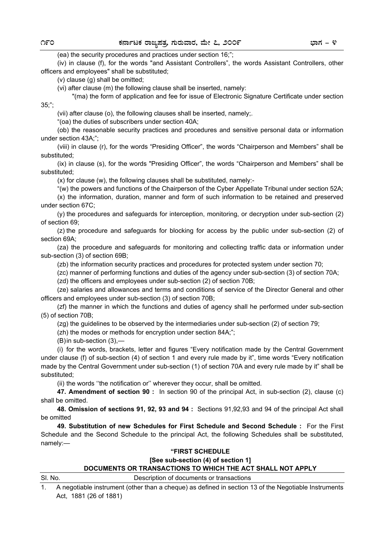(ea) the security procedures and practices under section 16;";

(iv) in clause (f), for the words "and Assistant Controllers", the words Assistant Controllers, other officers and employees" shall be substituted;

(v) clause (g) shall be omitted;

(vi) after clause (m) the following clause shall be inserted, namely:

"(ma) the form of application and fee for issue of Electronic Signature Certificate under section

(vii) after clause (o), the following clauses shall be inserted, namely;.

"(oa) the duties of subscribers under section 40A;

(ob) the reasonable security practices and procedures and sensitive personal data or information under section 43A;";

(viii) in clause (r), for the words "Presiding Officer", the words "Chairperson and Members" shall be substituted;

(ix) in clause (s), for the words "Presiding Officer", the words "Chairperson and Members" shall be substituted;

(x) for clause (w), the following clauses shall be substituted, namely:-

"(w) the powers and functions of the Chairperson of the Cyber Appellate Tribunal under section 52A; (x) the information, duration, manner and form of such information to be retained and preserved under section 67C;

(y) the procedures and safeguards for interception, monitoring, or decryption under sub-section (2) of section 69;

(z) the procedure and safeguards for blocking for access by the public under sub-section (2) of section 69A;

(za) the procedure and safeguards for monitoring and collecting traffic data or information under sub-section (3) of section 69B;

(zb) the information security practices and procedures for protected system under section 70;

(zc) manner of performing functions and duties of the agency under sub-section (3) of section 70A;

(zd) the officers and employees under sub-section (2) of section 70B;

(ze) salaries and allowances and terms and conditions of service of the Director General and other officers and employees under sub-section (3) of section 70B;

(zf) the manner in which the functions and duties of agency shall he performed under sub-section (5) of section 70B;

(zg) the guidelines to be observed by the intermediaries under sub-section (2) of section 79;

(zh) the modes or methods for encryption under section 84A;";

 $(B)$  in sub-section  $(3)$ ,—

(i) for the words, brackets, letter and figures "Every notification made by the Central Government under clause (f) of sub-section (4) of section 1 and every rule made by it", time words "Every notification made by the Central Government under sub-section (1) of section 70A and every rule made by it" shall be substituted;

(ii) the words ''the notification or'' wherever they occur, shall be omitted.

**47. Amendment of section 90 :** In section 90 of the principal Act, in sub-section (2), clause (c) shall be omitted.

**48. Omission of sections 91, 92, 93 and 94 :** Sections 91,92,93 and 94 of the principal Act shall be omitted

**49. Substitution of new Schedules for First Schedule and Second Schedule :** For the First Schedule and the Second Schedule to the principal Act, the following Schedules shall be substituted, namely:—

#### **"FIRST SCHEDULE**

**[See sub-section (4) of section 1]** 

**DOCUMENTS OR TRANSACTIONS TO WHICH THE ACT SHALL NOT APPLY**

| ۰. | ×<br>I |
|----|--------|
|----|--------|

Sl. No. Description of documents or transactions

1. A negotiable instrument (other than a cheque) as defined in section 13 of the Negotiable Instruments Act, 1881 (26 of 1881)

35;";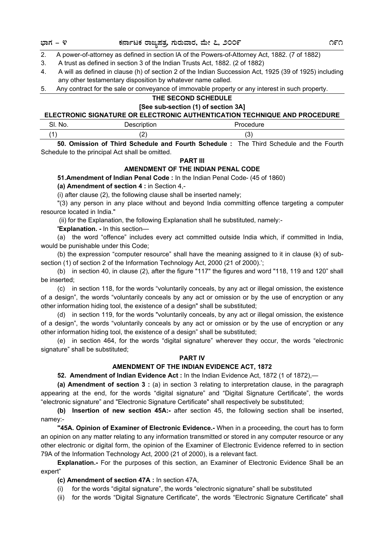- 2. A power-of-attorney as defined in section lA of the Powers-of-Attorney Act, 1882. (7 of 1882)
- 3. A trust as defined in section 3 of the Indian Trusts Act, 1882. (2 of 1882)
- 4. A will as defined in clause (h) of section 2 of the Indian Succession Act, 1925 (39 of 1925) including any other testamentary disposition by whatever name called.
- 5. Any contract for the sale or conveyance of immovable property or any interest in such property.

## **THE SECOND SCHEDULE**

## **[See sub-section (1) of section 3A]**

#### **ELECTRONIC SIGNATURE OR ELECTRONIC AUTHENTICATION TECHNIQUE AND PROCEDURE**

| ິ<br>Mo.<br>. ات<br>$\sim$ $\sim$ | י ישו<br>$\sim$ $\sim$ $\sim$ $\sim$ $\sim$ |        |  |
|-----------------------------------|---------------------------------------------|--------|--|
| . .                               | ◠<br>ॱ▃                                     | -<br>ີ |  |

**50. Omission of Third Schedule and Fourth Schedule :** The Third Schedule and the Fourth Schedule to the principal Act shall be omitted.

## **PART III**

#### **AMENDMENT OF THE INDIAN PENAL CODE**

 **51.Amendment of Indian Penal Code :** In the Indian Penal Code- (45 of 1860)

**(a) Amendment of section 4 :** in Section 4,-

(i) after clause (2), the following clause shall be inserted namely;

"(3) any person in any place without and beyond India committing offence targeting a computer resource located in India."

(ii) for the Explanation, the following Explanation shall he substituted, namely:-

**'Explanation. -** In this section—

 (a) the word "offence" includes every act committed outside India which, if committed in lndia, would be punishable under this Code;

 (b) the expression "computer resource" shall have the meaning assigned to it in clause (k) of subsection (1) of section 2 of the Information Technology Act, 2000 (21 of 2000).';

 (b) in section 40, in clause (2), after the figure "117" the figures and word "118, 119 and 120" shall be inserted;

 (c) in section 118, for the words "voluntarily conceals, by any act or illegal omission, the existence of a design", the words "voluntarily conceals by any act or omission or by the use of encryption or any other information hiding tool, the existence of a design" shall be substituted;

 (d) in section 119, for the words "voluntarily conceals, by any act or illegal omission, the existence of a design", the words "voluntarily conceals by any act or omission or by the use of encryption or any other information hiding tool, the existence of a design" shall be substituted;

 (e) in section 464, for the words "digital signature" wherever they occur, the words "electronic signature" shall be substituted;

#### **PART IV**

#### **AMENDMENT OF THE INDIAN EVIDENCE ACT, 1872**

**52. Amendment of Indian Evidence Act :** In the Indian Evidence Act, 1872 (1 of 1872),—

**(a) Amendment of section 3 :** (a) in section 3 relating to interpretation clause, in the paragraph appearing at the end, for the words "digital signature" and "Digital Signature Certificate", the words "electronic signature" and "Electronic Signature Certificate" shall respectively be substituted;

 **(b) Insertion of new section 45A:-** after section 45, the following section shall be inserted, namey:-

**"45A. Opinion of Examiner of Electronic Evidence.-** When in a proceeding, the court has to form an opinion on any matter relating to any information transmitted or stored in any computer resource or any other electronic or digital form, the opinion of the Examiner of Electronic Evidence referred to in section 79A of the Information Technology Act, 2000 (21 of 2000), is a relevant fact.

**Explanation.-** For the purposes of this section, an Examiner of Electronic Evidence Shall be an expert"

 **(c) Amendment of section 47A :** In section 47A,

(i) for the words "digital signature", the words "electronic signature" shall be substituted

(ii) for the words "Digital Signature Certificate", the words "Electronic Signature Certificate" shall